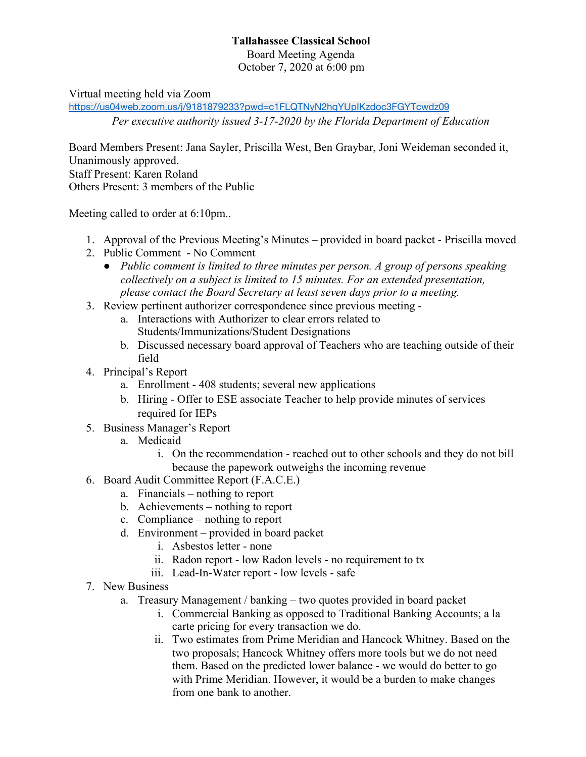## **Tallahassee Classical School**

Board Meeting Agenda October 7, 2020 at 6:00 pm

Virtual meeting held via Zoom

<https://us04web.zoom.us/j/9181879233?pwd=c1FLQTNyN2hqYUpIKzdoc3FGYTcwdz09>

*Per executive authority issued 3-17-2020 by the Florida Department of Education*

Board Members Present: Jana Sayler, Priscilla West, Ben Graybar, Joni Weideman seconded it, Unanimously approved. Staff Present: Karen Roland Others Present: 3 members of the Public

Meeting called to order at 6:10pm..

- 1. Approval of the Previous Meeting's Minutes provided in board packet Priscilla moved
- 2. Public Comment No Comment
	- *● Public comment is limited to three minutes per person. A group of persons speaking collectively on a subject is limited to 15 minutes. For an extended presentation, please contact the Board Secretary at least seven days prior to a meeting.*
- 3. Review pertinent authorizer correspondence since previous meeting
	- a. Interactions with Authorizer to clear errors related to Students/Immunizations/Student Designations
	- b. Discussed necessary board approval of Teachers who are teaching outside of their field
- 4. Principal's Report
	- a. Enrollment 408 students; several new applications
	- b. Hiring Offer to ESE associate Teacher to help provide minutes of services required for IEPs
- 5. Business Manager's Report
	- a. Medicaid
		- i. On the recommendation reached out to other schools and they do not bill because the papework outweighs the incoming revenue
- 6. Board Audit Committee Report (F.A.C.E.)
	- a. Financials nothing to report
	- b. Achievements nothing to report
	- c. Compliance nothing to report
	- d. Environment provided in board packet
		- i. Asbestos letter none
		- ii. Radon report low Radon levels no requirement to tx
		- iii. Lead-In-Water report low levels safe
- 7. New Business
	- a. Treasury Management / banking two quotes provided in board packet
		- i. Commercial Banking as opposed to Traditional Banking Accounts; a la carte pricing for every transaction we do.
		- ii. Two estimates from Prime Meridian and Hancock Whitney. Based on the two proposals; Hancock Whitney offers more tools but we do not need them. Based on the predicted lower balance - we would do better to go with Prime Meridian. However, it would be a burden to make changes from one bank to another.